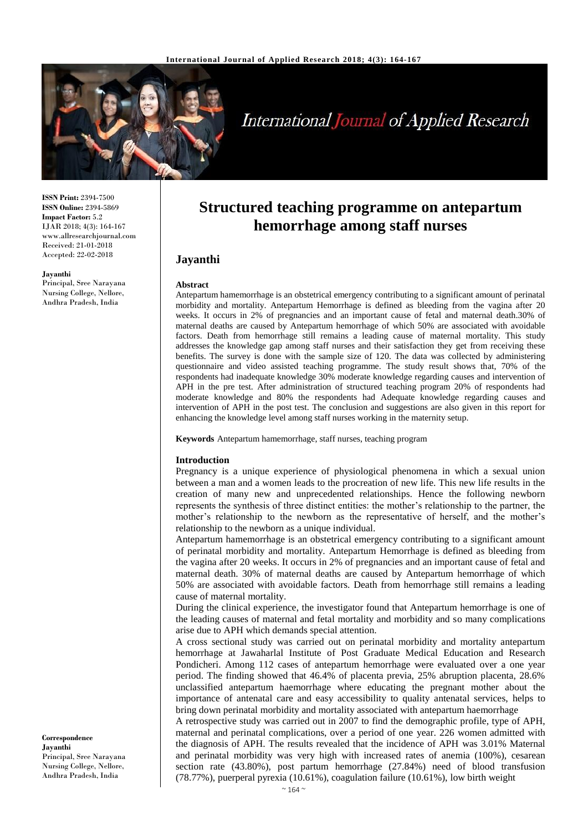

# **International Journal of Applied Research**

**ISSN Print:** 2394-7500 **ISSN Online:** 2394-5869 **Impact Factor:** 5.2 IJAR 2018; 4(3): 164-167 www.allresearchjournal.com Received: 21-01-2018 Accepted: 22-02-2018

#### **Jayanthi**

Principal, Sree Narayana Nursing College, Nellore, Andhra Pradesh, India

# **Structured teaching programme on antepartum hemorrhage among staff nurses**

# **Jayanthi**

#### **Abstract**

Antepartum hamemorrhage is an obstetrical emergency contributing to a significant amount of perinatal morbidity and mortality. Antepartum Hemorrhage is defined as bleeding from the vagina after 20 weeks. It occurs in 2% of pregnancies and an important cause of fetal and maternal death.30% of maternal deaths are caused by Antepartum hemorrhage of which 50% are associated with avoidable factors. Death from hemorrhage still remains a leading cause of maternal mortality. This study addresses the knowledge gap among staff nurses and their satisfaction they get from receiving these benefits. The survey is done with the sample size of 120. The data was collected by administering questionnaire and video assisted teaching programme. The study result shows that, 70% of the respondents had inadequate knowledge 30% moderate knowledge regarding causes and intervention of APH in the pre test. After administration of structured teaching program 20% of respondents had moderate knowledge and 80% the respondents had Adequate knowledge regarding causes and intervention of APH in the post test. The conclusion and suggestions are also given in this report for enhancing the knowledge level among staff nurses working in the maternity setup.

**Keywords** Antepartum hamemorrhage, staff nurses, teaching program

#### **Introduction**

Pregnancy is a unique experience of physiological phenomena in which a sexual union between a man and a women leads to the procreation of new life. This new life results in the creation of many new and unprecedented relationships. Hence the following newborn represents the synthesis of three distinct entities: the mother's relationship to the partner, the mother's relationship to the newborn as the representative of herself, and the mother's relationship to the newborn as a unique individual.

Antepartum hamemorrhage is an obstetrical emergency contributing to a significant amount of perinatal morbidity and mortality. Antepartum Hemorrhage is defined as bleeding from the vagina after 20 weeks. It occurs in 2% of pregnancies and an important cause of fetal and maternal death. 30% of maternal deaths are caused by Antepartum hemorrhage of which 50% are associated with avoidable factors. Death from hemorrhage still remains a leading cause of maternal mortality.

During the clinical experience, the investigator found that Antepartum hemorrhage is one of the leading causes of maternal and fetal mortality and morbidity and so many complications arise due to APH which demands special attention.

A cross sectional study was carried out on perinatal morbidity and mortality antepartum hemorrhage at Jawaharlal Institute of Post Graduate Medical Education and Research Pondicheri. Among 112 cases of antepartum hemorrhage were evaluated over a one year period. The finding showed that 46.4% of placenta previa, 25% abruption placenta, 28.6% unclassified antepartum haemorrhage where educating the pregnant mother about the importance of antenatal care and easy accessibility to quality antenatal services, helps to bring down perinatal morbidity and mortality associated with antepartum haemorrhage

A retrospective study was carried out in 2007 to find the demographic profile, type of APH, maternal and perinatal complications, over a period of one year. 226 women admitted with the diagnosis of APH. The results revealed that the incidence of APH was 3.01% Maternal and perinatal morbidity was very high with increased rates of anemia (100%), cesarean section rate (43.80%), post partum hemorrhage (27.84%) need of blood transfusion (78.77%), puerperal pyrexia (10.61%), coagulation failure (10.61%), low birth weight

**Correspondence Jayanthi** Principal, Sree Narayana Nursing College, Nellore, Andhra Pradesh, India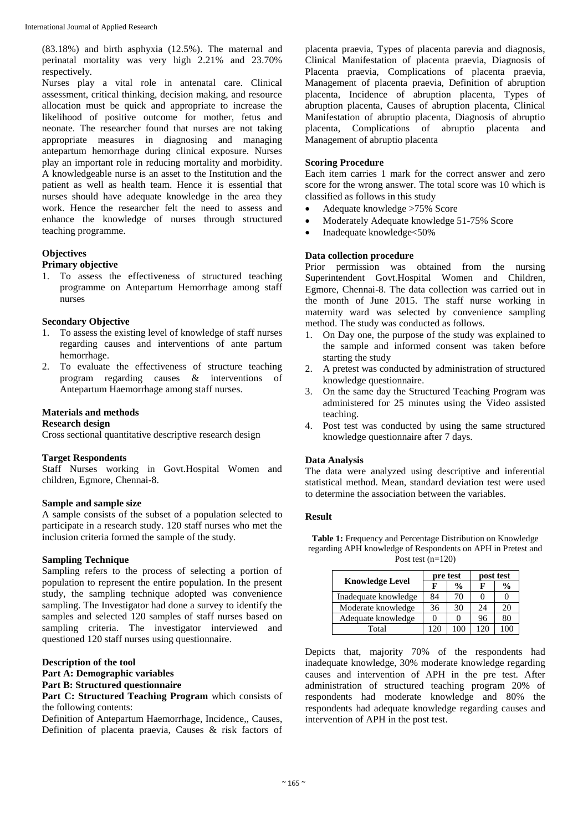(83.18%) and birth asphyxia (12.5%). The maternal and perinatal mortality was very high 2.21% and 23.70% respectively.

Nurses play a vital role in antenatal care. Clinical assessment, critical thinking, decision making, and resource allocation must be quick and appropriate to increase the likelihood of positive outcome for mother, fetus and neonate. The researcher found that nurses are not taking appropriate measures in diagnosing and managing antepartum hemorrhage during clinical exposure. Nurses play an important role in reducing mortality and morbidity. A knowledgeable nurse is an asset to the Institution and the patient as well as health team. Hence it is essential that nurses should have adequate knowledge in the area they work. Hence the researcher felt the need to assess and enhance the knowledge of nurses through structured teaching programme.

## **Objectives**

# **Primary objective**

1. To assess the effectiveness of structured teaching programme on Antepartum Hemorrhage among staff nurses

#### **Secondary Objective**

- 1. To assess the existing level of knowledge of staff nurses regarding causes and interventions of ante partum hemorrhage.
- 2. To evaluate the effectiveness of structure teaching program regarding causes & interventions of Antepartum Haemorrhage among staff nurses.

#### **Materials and methods**

#### **Research design**

Cross sectional quantitative descriptive research design

### **Target Respondents**

Staff Nurses working in Govt.Hospital Women and children, Egmore, Chennai-8.

#### **Sample and sample size**

A sample consists of the subset of a population selected to participate in a research study. 120 staff nurses who met the inclusion criteria formed the sample of the study.

#### **Sampling Technique**

Sampling refers to the process of selecting a portion of population to represent the entire population. In the present study, the sampling technique adopted was convenience sampling. The Investigator had done a survey to identify the samples and selected 120 samples of staff nurses based on sampling criteria. The investigator interviewed and questioned 120 staff nurses using questionnaire.

#### **Description of the tool**

- **Part A: Demographic variables**
- **Part B: Structured questionnaire**

Part C: Structured Teaching Program which consists of the following contents:

Definition of Antepartum Haemorrhage, Incidence,, Causes, Definition of placenta praevia, Causes & risk factors of

placenta praevia, Types of placenta parevia and diagnosis, Clinical Manifestation of placenta praevia, Diagnosis of Placenta praevia, Complications of placenta praevia, Management of placenta praevia, Definition of abruption placenta, Incidence of abruption placenta, Types of abruption placenta, Causes of abruption placenta, Clinical Manifestation of abruptio placenta, Diagnosis of abruptio placenta, Complications of abruptio placenta and Management of abruptio placenta

#### **Scoring Procedure**

Each item carries 1 mark for the correct answer and zero score for the wrong answer. The total score was 10 which is classified as follows in this study

- Adequate knowledge >75% Score
- Moderately Adequate knowledge 51-75% Score
- Inadequate knowledge<50%

#### **Data collection procedure**

Prior permission was obtained from the nursing Superintendent Govt.Hospital Women and Children, Egmore, Chennai-8. The data collection was carried out in the month of June 2015. The staff nurse working in maternity ward was selected by convenience sampling method. The study was conducted as follows.

- 1. On Day one, the purpose of the study was explained to the sample and informed consent was taken before starting the study
- 2. A pretest was conducted by administration of structured knowledge questionnaire.
- 3. On the same day the Structured Teaching Program was administered for 25 minutes using the Video assisted teaching.
- 4. Post test was conducted by using the same structured knowledge questionnaire after 7 days.

#### **Data Analysis**

The data were analyzed using descriptive and inferential statistical method. Mean, standard deviation test were used to determine the association between the variables.

#### **Result**

**Table 1:** Frequency and Percentage Distribution on Knowledge regarding APH knowledge of Respondents on APH in Pretest and Post test  $(n=120)$ 

| <b>Knowledge Level</b> |     | pre test      | post test |               |  |
|------------------------|-----|---------------|-----------|---------------|--|
|                        | F   | $\frac{0}{0}$ | F         | $\frac{0}{0}$ |  |
| Inadequate knowledge   | 84  | 70            |           |               |  |
| Moderate knowledge     | 36  | 30            | 24        | 20            |  |
| Adequate knowledge     |     |               | 96        | 80            |  |
| Total                  | 120 | 100           | 120       | 100           |  |

Depicts that, majority 70% of the respondents had inadequate knowledge, 30% moderate knowledge regarding causes and intervention of APH in the pre test. After administration of structured teaching program 20% of respondents had moderate knowledge and 80% the respondents had adequate knowledge regarding causes and intervention of APH in the post test.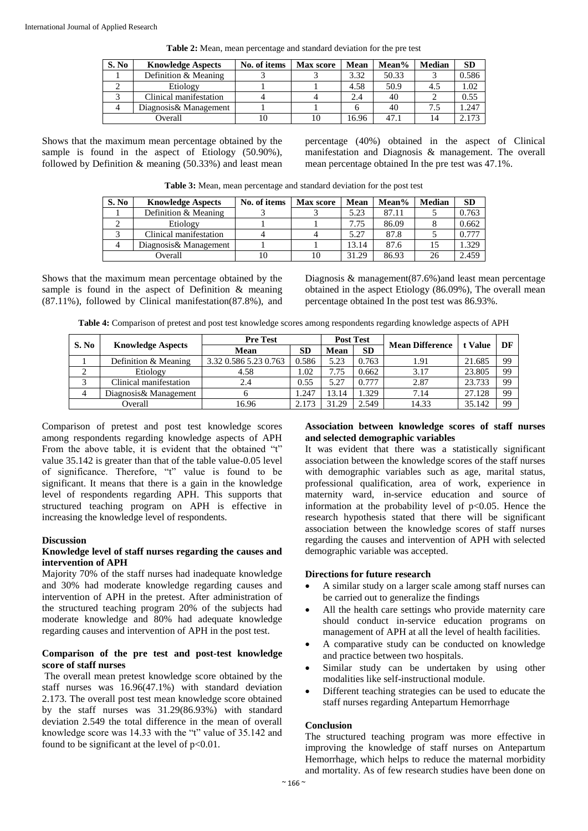| S. No | <b>Knowledge Aspects</b> | No. of items | <b>Max</b> score | Mean  | Mean% | <b>Median</b> | <b>SD</b> |
|-------|--------------------------|--------------|------------------|-------|-------|---------------|-----------|
|       | Definition & Meaning     |              |                  | 3.32  | 50.33 |               | 0.586     |
|       | Etiology                 |              |                  | 4.58  | 50.9  | 4.5           | 1.02      |
|       | Clinical manifestation   |              |                  | 2.4   | 40    |               | 0.55      |
| 4     | Diagnosis & Management   |              |                  |       | 40    |               | 1.247     |
|       | Overall                  |              |                  | 16.96 | 47.1  |               | 2.173     |

**Table 2:** Mean, mean percentage and standard deviation for the pre test

Shows that the maximum mean percentage obtained by the sample is found in the aspect of Etiology (50.90%), followed by Definition & meaning (50.33%) and least mean percentage (40%) obtained in the aspect of Clinical manifestation and Diagnosis & management. The overall mean percentage obtained In the pre test was 47.1%.

| Table 3: Mean, mean percentage and standard deviation for the post test |
|-------------------------------------------------------------------------|
|-------------------------------------------------------------------------|

| S. No | <b>Knowledge Aspects</b> | No. of items | <b>Max</b> score | Mean  | Mean% | <b>Median</b> | <b>SD</b> |
|-------|--------------------------|--------------|------------------|-------|-------|---------------|-----------|
|       | Definition & Meaning     |              |                  | 5.23  | 87.11 |               | 0.763     |
|       | Etiology                 |              |                  | 7.75  | 86.09 |               | 0.662     |
|       | Clinical manifestation   |              |                  | 5.27  | 87.8  |               | 0.777     |
|       | Diagnosis& Management    |              |                  | 13.14 | 87.6  |               | .329      |
|       | Overall                  | 10           | 10               | 31.29 | 86.93 |               | 2.459     |

Shows that the maximum mean percentage obtained by the sample is found in the aspect of Definition & meaning (87.11%), followed by Clinical manifestation(87.8%), and Diagnosis & management(87.6%)and least mean percentage obtained in the aspect Etiology (86.09%), The overall mean percentage obtained In the post test was 86.93%.

**Table 4:** Comparison of pretest and post test knowledge scores among respondents regarding knowledge aspects of APH

| S. No | <b>Knowledge Aspects</b> | <b>Pre Test</b>       |           | <b>Post Test</b> |       |                        |         |    |
|-------|--------------------------|-----------------------|-----------|------------------|-------|------------------------|---------|----|
|       |                          | Mean                  | <b>SD</b> | Mean             | SD    | <b>Mean Difference</b> | t Value | DF |
|       | Definition & Meaning     | 3.32 0.586 5.23 0.763 | 0.586     | 5.23             | 0.763 | 1.91                   | 21.685  | 99 |
|       | Etiology                 | 4.58                  | 1.02      | 7.75             | 0.662 | 3.17                   | 23.805  | 99 |
|       | Clinical manifestation   | 2.4                   | 0.55      | 5.27             | 0.777 | 2.87                   | 23.733  | 99 |
|       | Diagnosis& Management    |                       | 1.247     | 13.14            | .329  | 7.14                   | 27.128  | 99 |
|       | Overall                  | 16.96                 | 2.173     | 31.29            | 2.549 | 14.33                  | 35.142  | 99 |

Comparison of pretest and post test knowledge scores among respondents regarding knowledge aspects of APH From the above table, it is evident that the obtained "t" value 35.142 is greater than that of the table value-0.05 level of significance. Therefore, "t" value is found to be significant. It means that there is a gain in the knowledge level of respondents regarding APH. This supports that structured teaching program on APH is effective in increasing the knowledge level of respondents.

#### **Discussion**

#### **Knowledge level of staff nurses regarding the causes and intervention of APH**

Majority 70% of the staff nurses had inadequate knowledge and 30% had moderate knowledge regarding causes and intervention of APH in the pretest. After administration of the structured teaching program 20% of the subjects had moderate knowledge and 80% had adequate knowledge regarding causes and intervention of APH in the post test.

#### **Comparison of the pre test and post-test knowledge score of staff nurses**

The overall mean pretest knowledge score obtained by the staff nurses was 16.96(47.1%) with standard deviation 2.173. The overall post test mean knowledge score obtained by the staff nurses was 31.29(86.93%) with standard deviation 2.549 the total difference in the mean of overall knowledge score was 14.33 with the "t" value of 35.142 and found to be significant at the level of  $p<0.01$ .

#### **Association between knowledge scores of staff nurses and selected demographic variables**

It was evident that there was a statistically significant association between the knowledge scores of the staff nurses with demographic variables such as age, marital status, professional qualification, area of work, experience in maternity ward, in-service education and source of information at the probability level of  $p<0.05$ . Hence the research hypothesis stated that there will be significant association between the knowledge scores of staff nurses regarding the causes and intervention of APH with selected demographic variable was accepted.

### **Directions for future research**

- A similar study on a larger scale among staff nurses can be carried out to generalize the findings
- All the health care settings who provide maternity care should conduct in-service education programs on management of APH at all the level of health facilities.
- A comparative study can be conducted on knowledge and practice between two hospitals.
- Similar study can be undertaken by using other modalities like self-instructional module.
- Different teaching strategies can be used to educate the staff nurses regarding Antepartum Hemorrhage

# **Conclusion**

The structured teaching program was more effective in improving the knowledge of staff nurses on Antepartum Hemorrhage, which helps to reduce the maternal morbidity and mortality. As of few research studies have been done on